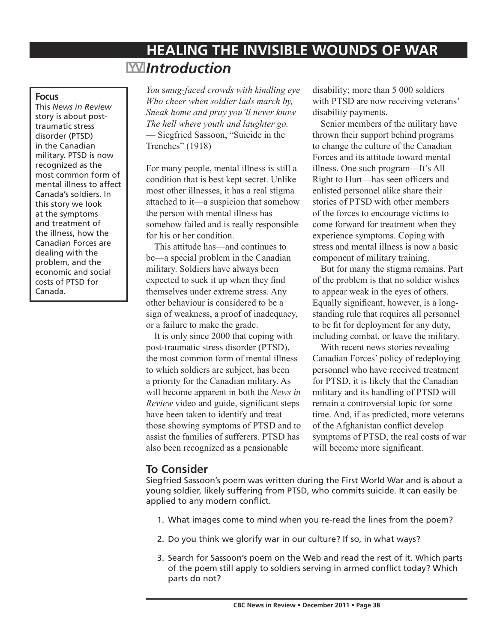# **HEALING THE INVISIBLE WOUNDS OF WAR**  *Introduction*

#### **Focus**

This *News in Review* story is about posttraumatic stress disorder (PTSD) in the Canadian military. PTSD is now recognized as the most common form of mental illness to affect Canada's soldiers. In this story we look at the symptoms and treatment of the illness, how the Canadian Forces are dealing with the problem, and the economic and social costs of PTSD for Canada.

*You* s*mug-faced crowds with kindling eye Who cheer when soldier lads march by, Sneak home and pray you'll never know The hell where youth and laughter go.* — Siegfried Sassoon, "Suicide in the Trenches" (1918)

For many people, mental illness is still a condition that is best kept secret. Unlike most other illnesses, it has a real stigma attached to it—a suspicion that somehow the person with mental illness has somehow failed and is really responsible for his or her condition.

This attitude has—and continues to be—a special problem in the Canadian military. Soldiers have always been expected to suck it up when they find themselves under extreme stress. Any other behaviour is considered to be a sign of weakness, a proof of inadequacy, or a failure to make the grade.

It is only since 2000 that coping with post-traumatic stress disorder (PTSD), the most common form of mental illness to which soldiers are subject, has been a priority for the Canadian military. As will become apparent in both the *News in Review* video and guide, significant steps have been taken to identify and treat those showing symptoms of PTSD and to assist the families of sufferers. PTSD has also been recognized as a pensionable

disability; more than 5 000 soldiers with PTSD are now receiving veterans' disability payments.

Senior members of the military have thrown their support behind programs to change the culture of the Canadian Forces and its attitude toward mental illness. One such program—It's All Right to Hurt—has seen officers and enlisted personnel alike share their stories of PTSD with other members of the forces to encourage victims to come forward for treatment when they experience symptoms. Coping with stress and mental illness is now a basic component of military training.

But for many the stigma remains. Part of the problem is that no soldier wishes to appear weak in the eyes of others. Equally significant, however, is a longstanding rule that requires all personnel to be fit for deployment for any duty, including combat, or leave the military.

With recent news stories revealing Canadian Forces' policy of redeploying personnel who have received treatment for PTSD, it is likely that the Canadian military and its handling of PTSD will remain a controversial topic for some time. And, if as predicted, more veterans of the Afghanistan conflict develop symptoms of PTSD, the real costs of war will become more significant.

# **To Consider**

Siegfried Sassoon's poem was written during the First World War and is about a young soldier, likely suffering from PTSD, who commits suicide. It can easily be applied to any modern conflict.

- 1. What images come to mind when you re-read the lines from the poem?
- 2. Do you think we glorify war in our culture? If so, in what ways?
- 3. Search for Sassoon's poem on the Web and read the rest of it. Which parts of the poem still apply to soldiers serving in armed conflict today? Which parts do not?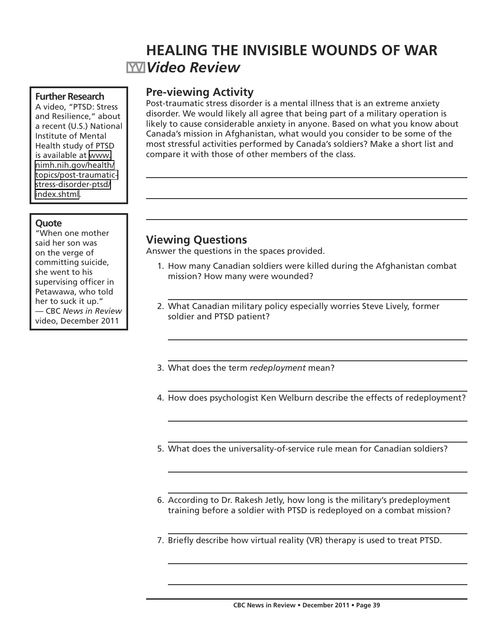# **HEALING THE INVISIBLE WOUNDS OF WAR** *Video Review*

#### **Further Research**

A video, "PTSD: Stress and Resilience," about a recent (U.S.) National Institute of Mental Health study of PTSD is available at [www.](http://www.nimh.nih.gov/health/topics/post-traumatic-stress-disorder-ptsd/index.shtml) [nimh.nih.gov/health/](http://www.nimh.nih.gov/health/topics/post-traumatic-stress-disorder-ptsd/index.shtml) [topics/post-traumatic](http://www.nimh.nih.gov/health/topics/post-traumatic-stress-disorder-ptsd/index.shtml)[stress-disorder-ptsd/](http://www.nimh.nih.gov/health/topics/post-traumatic-stress-disorder-ptsd/index.shtml) [index.shtml](http://www.nimh.nih.gov/health/topics/post-traumatic-stress-disorder-ptsd/index.shtml).

### **Quote**

"When one mother said her son was on the verge of committing suicide, she went to his supervising officer in Petawawa, who told her to suck it up." — CBC *News in Review* video, December 2011

# **Pre-viewing Activity**

Post-traumatic stress disorder is a mental illness that is an extreme anxiety disorder. We would likely all agree that being part of a military operation is likely to cause considerable anxiety in anyone. Based on what you know about Canada's mission in Afghanistan, what would you consider to be some of the most stressful activities performed by Canada's soldiers? Make a short list and compare it with those of other members of the class.

# **Viewing Questions**

Answer the questions in the spaces provided.

- 1. How many Canadian soldiers were killed during the Afghanistan combat mission? How many were wounded?
- 2. What Canadian military policy especially worries Steve Lively, former soldier and PTSD patient?
- 3. What does the term *redeployment* mean?
- 4. How does psychologist Ken Welburn describe the effects of redeployment?
- 5. What does the universality-of-service rule mean for Canadian soldiers?
- 6. According to Dr. Rakesh Jetly, how long is the military's predeployment training before a soldier with PTSD is redeployed on a combat mission?
- 7. Briefly describe how virtual reality (VR) therapy is used to treat PTSD.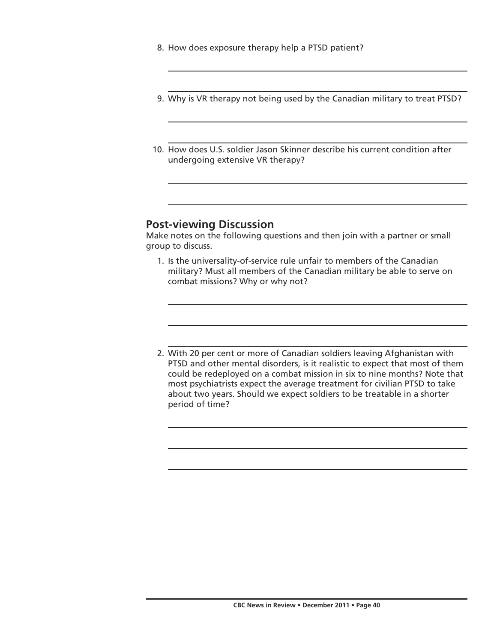- 8. How does exposure therapy help a PTSD patient?
- 9. Why is VR therapy not being used by the Canadian military to treat PTSD?
- 10. How does U.S. soldier Jason Skinner describe his current condition after undergoing extensive VR therapy?

# **Post-viewing Discussion**

Make notes on the following questions and then join with a partner or small group to discuss.

- 1. Is the universality-of-service rule unfair to members of the Canadian military? Must all members of the Canadian military be able to serve on combat missions? Why or why not?
- 2. With 20 per cent or more of Canadian soldiers leaving Afghanistan with PTSD and other mental disorders, is it realistic to expect that most of them could be redeployed on a combat mission in six to nine months? Note that most psychiatrists expect the average treatment for civilian PTSD to take about two years. Should we expect soldiers to be treatable in a shorter period of time?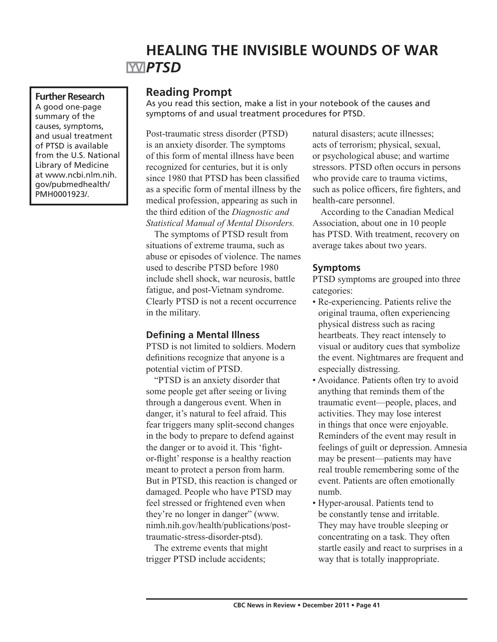# **HEALING THE INVISIBLE WOUNDS OF WAR PTSD**

### **Further Research**

A good one-page summary of the causes, symptoms, and usual treatment of PTSD is available from the U.S. National Library of Medicine at www.ncbi.nlm.nih. gov/pubmedhealth/ PMH0001923/.

## **Reading Prompt**

As you read this section, make a list in your notebook of the causes and symptoms of and usual treatment procedures for PTSD.

Post-traumatic stress disorder (PTSD) is an anxiety disorder. The symptoms of this form of mental illness have been recognized for centuries, but it is only since 1980 that PTSD has been classified as a specific form of mental illness by the medical profession, appearing as such in the third edition of the *Diagnostic and Statistical Manual of Mental Disorders.*

The symptoms of PTSD result from situations of extreme trauma, such as abuse or episodes of violence. The names used to describe PTSD before 1980 include shell shock, war neurosis, battle fatigue, and post-Vietnam syndrome. Clearly PTSD is not a recent occurrence in the military.

## **Defining a Mental Illness**

PTSD is not limited to soldiers. Modern definitions recognize that anyone is a potential victim of PTSD.

"PTSD is an anxiety disorder that some people get after seeing or living through a dangerous event. When in danger, it's natural to feel afraid. This fear triggers many split-second changes in the body to prepare to defend against the danger or to avoid it. This 'fightor-flight' response is a healthy reaction meant to protect a person from harm. But in PTSD, this reaction is changed or damaged. People who have PTSD may feel stressed or frightened even when they're no longer in danger" (www. nimh.nih.gov/health/publications/posttraumatic-stress-disorder-ptsd).

The extreme events that might trigger PTSD include accidents;

natural disasters; acute illnesses; acts of terrorism; physical, sexual, or psychological abuse; and wartime stressors. PTSD often occurs in persons who provide care to trauma victims, such as police officers, fire fighters, and health-care personnel.

According to the Canadian Medical Association, about one in 10 people has PTSD. With treatment, recovery on average takes about two years.

## **Symptoms**

PTSD symptoms are grouped into three categories:

- Re-experiencing. Patients relive the original trauma, often experiencing physical distress such as racing heartbeats. They react intensely to visual or auditory cues that symbolize the event. Nightmares are frequent and especially distressing.
- Avoidance. Patients often try to avoid anything that reminds them of the traumatic event—people, places, and activities. They may lose interest in things that once were enjoyable. Reminders of the event may result in feelings of guilt or depression. Amnesia may be present—patients may have real trouble remembering some of the event. Patients are often emotionally numb.
- Hyper-arousal. Patients tend to be constantly tense and irritable. They may have trouble sleeping or concentrating on a task. They often startle easily and react to surprises in a way that is totally inappropriate.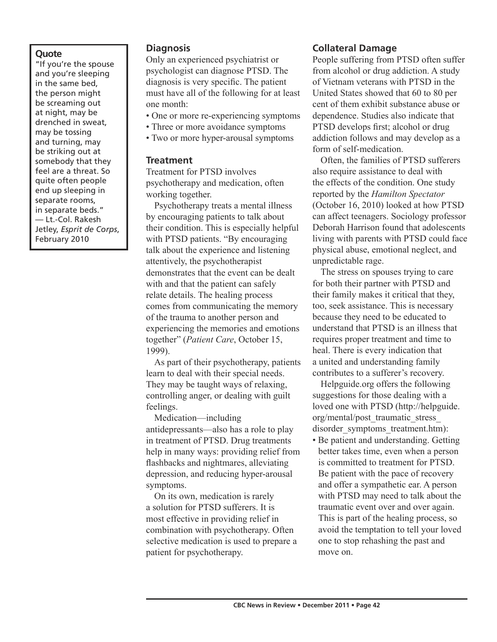### **Quote**

"If you're the spouse and you're sleeping in the same bed, the person might be screaming out at night, may be drenched in sweat, may be tossing and turning, may be striking out at somebody that they feel are a threat. So quite often people end up sleeping in separate rooms, in separate beds." — Lt.-Col. Rakesh Jetley, *Esprit de Corps*, February 2010

### **Diagnosis**

Only an experienced psychiatrist or psychologist can diagnose PTSD. The diagnosis is very specific. The patient must have all of the following for at least one month:

- One or more re-experiencing symptoms
- Three or more avoidance symptoms
- Two or more hyper-arousal symptoms

#### **Treatment**

Treatment for PTSD involves psychotherapy and medication, often working together.

Psychotherapy treats a mental illness by encouraging patients to talk about their condition. This is especially helpful with PTSD patients. "By encouraging talk about the experience and listening attentively, the psychotherapist demonstrates that the event can be dealt with and that the patient can safely relate details. The healing process comes from communicating the memory of the trauma to another person and experiencing the memories and emotions together" (*Patient Care*, October 15, 1999).

As part of their psychotherapy, patients learn to deal with their special needs. They may be taught ways of relaxing, controlling anger, or dealing with guilt feelings.

Medication—including antidepressants—also has a role to play in treatment of PTSD. Drug treatments help in many ways: providing relief from flashbacks and nightmares, alleviating depression, and reducing hyper-arousal symptoms.

On its own, medication is rarely a solution for PTSD sufferers. It is most effective in providing relief in combination with psychotherapy. Often selective medication is used to prepare a patient for psychotherapy.

## **Collateral Damage**

People suffering from PTSD often suffer from alcohol or drug addiction. A study of Vietnam veterans with PTSD in the United States showed that 60 to 80 per cent of them exhibit substance abuse or dependence. Studies also indicate that PTSD develops first; alcohol or drug addiction follows and may develop as a form of self-medication.

Often, the families of PTSD sufferers also require assistance to deal with the effects of the condition. One study reported by the *Hamilton Spectator* (October 16, 2010) looked at how PTSD can affect teenagers. Sociology professor Deborah Harrison found that adolescents living with parents with PTSD could face physical abuse, emotional neglect, and unpredictable rage.

The stress on spouses trying to care for both their partner with PTSD and their family makes it critical that they, too, seek assistance. This is necessary because they need to be educated to understand that PTSD is an illness that requires proper treatment and time to heal. There is every indication that a united and understanding family contributes to a sufferer's recovery.

Helpguide.org offers the following suggestions for those dealing with a loved one with PTSD (http://helpguide. org/mental/post\_traumatic\_stress\_ disorder\_symptoms\_treatment.htm):

• Be patient and understanding. Getting better takes time, even when a person is committed to treatment for PTSD. Be patient with the pace of recovery and offer a sympathetic ear. A person with PTSD may need to talk about the traumatic event over and over again. This is part of the healing process, so avoid the temptation to tell your loved one to stop rehashing the past and move on.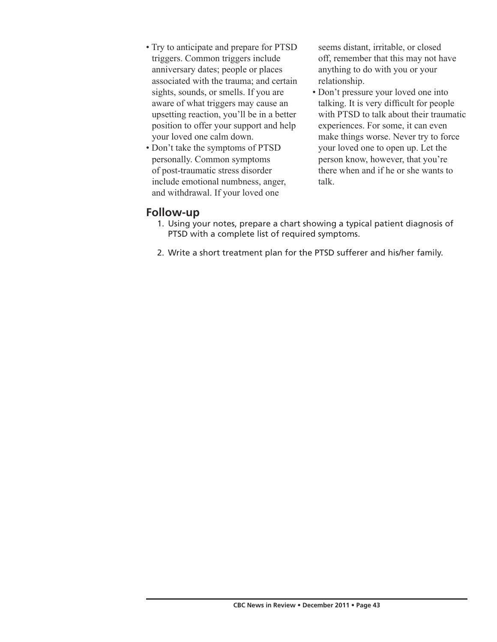- Try to anticipate and prepare for PTSD triggers. Common triggers include anniversary dates; people or places associated with the trauma; and certain sights, sounds, or smells. If you are aware of what triggers may cause an upsetting reaction, you'll be in a better position to offer your support and help your loved one calm down.
- Don't take the symptoms of PTSD personally. Common symptoms of post-traumatic stress disorder include emotional numbness, anger, and withdrawal. If your loved one

seems distant, irritable, or closed off, remember that this may not have anything to do with you or your relationship.

• Don't pressure your loved one into talking. It is very difficult for people with PTSD to talk about their traumatic experiences. For some, it can even make things worse. Never try to force your loved one to open up. Let the person know, however, that you're there when and if he or she wants to talk.

## **Follow-up**

- 1. Using your notes, prepare a chart showing a typical patient diagnosis of PTSD with a complete list of required symptoms.
- 2. Write a short treatment plan for the PTSD sufferer and his/her family.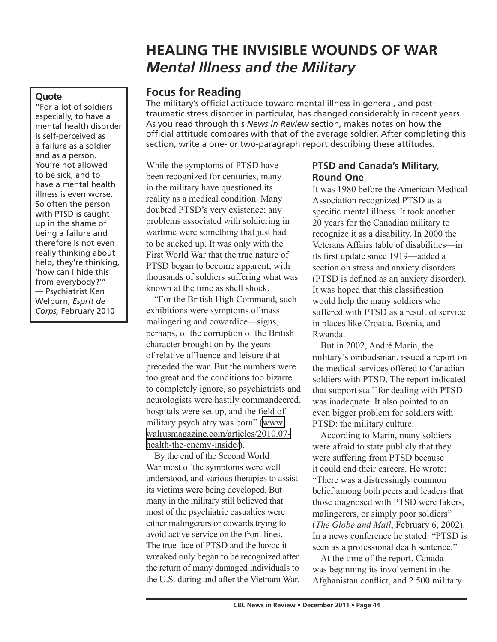# **HEALING THE INVISIBLE WOUNDS OF WAR** *Mental Illness and the Military*

# **Focus for Reading**

The military's official attitude toward mental illness in general, and posttraumatic stress disorder in particular, has changed considerably in recent years. As you read through this *News in Review* section, makes notes on how the official attitude compares with that of the average soldier. After completing this section, write a one- or two-paragraph report describing these attitudes.

While the symptoms of PTSD have been recognized for centuries, many in the military have questioned its reality as a medical condition. Many doubted PTSD's very existence; any problems associated with soldiering in wartime were something that just had to be sucked up. It was only with the First World War that the true nature of PTSD began to become apparent, with thousands of soldiers suffering what was known at the time as shell shock.

"For the British High Command, such exhibitions were symptoms of mass malingering and cowardice—signs, perhaps, of the corruption of the British character brought on by the years of relative affluence and leisure that preceded the war. But the numbers were too great and the conditions too bizarre to completely ignore, so psychiatrists and neurologists were hastily commandeered, hospitals were set up, and the field of military psychiatry was born" ([www.](http://www.walrusmagazine.com/articles/2010.07-health-the-enemy-inside/) [walrusmagazine.com/articles/2010.07](http://www.walrusmagazine.com/articles/2010.07-health-the-enemy-inside/) [health-the-enemy-inside/\)](http://www.walrusmagazine.com/articles/2010.07-health-the-enemy-inside/).

By the end of the Second World War most of the symptoms were well understood, and various therapies to assist its victims were being developed. But many in the military still believed that most of the psychiatric casualties were either malingerers or cowards trying to avoid active service on the front lines. The true face of PTSD and the havoc it wreaked only began to be recognized after the return of many damaged individuals to the U.S. during and after the Vietnam War.

## **PTSD and Canada's Military, Round One**

It was 1980 before the American Medical Association recognized PTSD as a specific mental illness. It took another 20 years for the Canadian military to recognize it as a disability. In 2000 the Veterans Affairs table of disabilities—in its first update since 1919—added a section on stress and anxiety disorders (PTSD is defined as an anxiety disorder). It was hoped that this classification would help the many soldiers who suffered with PTSD as a result of service in places like Croatia, Bosnia, and Rwanda.

But in 2002, André Marin, the military's ombudsman, issued a report on the medical services offered to Canadian soldiers with PTSD. The report indicated that support staff for dealing with PTSD was inadequate. It also pointed to an even bigger problem for soldiers with PTSD: the military culture.

According to Marin, many soldiers were afraid to state publicly that they were suffering from PTSD because it could end their careers. He wrote: "There was a distressingly common belief among both peers and leaders that those diagnosed with PTSD were fakers, malingerers, or simply poor soldiers" (*The Globe and Mail*, February 6, 2002). In a news conference he stated: "PTSD is seen as a professional death sentence."

At the time of the report, Canada was beginning its involvement in the Afghanistan conflict, and 2 500 military

## **Quote**

"For a lot of soldiers especially, to have a mental health disorder is self-perceived as a failure as a soldier and as a person. You're not allowed to be sick, and to have a mental health illness is even worse. So often the person with PTSD is caught up in the shame of being a failure and therefore is not even really thinking about help, they're thinking, 'how can I hide this from everybody?'" — Psychiatrist Ken Welburn, *Esprit de Corps,* February 2010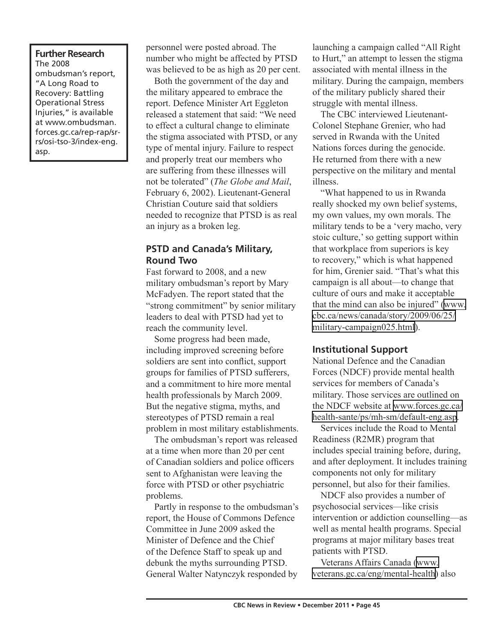#### **Further Research** The 2008

ombudsman's report, "A Long Road to Recovery: Battling Operational Stress Injuries," is available at www.ombudsman. forces.gc.ca/rep-rap/srrs/osi-tso-3/index-eng. asp.

personnel were posted abroad. The number who might be affected by PTSD was believed to be as high as 20 per cent.

Both the government of the day and the military appeared to embrace the report. Defence Minister Art Eggleton released a statement that said: "We need to effect a cultural change to eliminate the stigma associated with PTSD, or any type of mental injury. Failure to respect and properly treat our members who are suffering from these illnesses will not be tolerated" (*The Globe and Mail*, February 6, 2002). Lieutenant-General Christian Couture said that soldiers needed to recognize that PTSD is as real an injury as a broken leg.

## **PSTD and Canada's Military, Round Two**

Fast forward to 2008, and a new military ombudsman's report by Mary McFadyen. The report stated that the "strong commitment" by senior military leaders to deal with PTSD had yet to reach the community level.

Some progress had been made, including improved screening before soldiers are sent into conflict, support groups for families of PTSD sufferers, and a commitment to hire more mental health professionals by March 2009. But the negative stigma, myths, and stereotypes of PTSD remain a real problem in most military establishments.

The ombudsman's report was released at a time when more than 20 per cent of Canadian soldiers and police officers sent to Afghanistan were leaving the force with PTSD or other psychiatric problems.

Partly in response to the ombudsman's report, the House of Commons Defence Committee in June 2009 asked the Minister of Defence and the Chief of the Defence Staff to speak up and debunk the myths surrounding PTSD. General Walter Natynczyk responded by

launching a campaign called "All Right to Hurt," an attempt to lessen the stigma associated with mental illness in the military. During the campaign, members of the military publicly shared their struggle with mental illness.

The CBC interviewed Lieutenant-Colonel Stephane Grenier, who had served in Rwanda with the United Nations forces during the genocide. He returned from there with a new perspective on the military and mental illness.

"What happened to us in Rwanda really shocked my own belief systems, my own values, my own morals. The military tends to be a 'very macho, very stoic culture,' so getting support within that workplace from superiors is key to recovery," which is what happened for him, Grenier said. "That's what this campaign is all about—to change that culture of ours and make it acceptable that the mind can also be injured" [\(www.](http://www.cbc.ca/news/canada/story/2009/06/25/military-campaign025.html) [cbc.ca/news/canada/story/2009/06/25/](http://www.cbc.ca/news/canada/story/2009/06/25/military-campaign025.html) [military-campaign025.html](http://www.cbc.ca/news/canada/story/2009/06/25/military-campaign025.html)).

## **Institutional Support**

National Defence and the Canadian Forces (NDCF) provide mental health services for members of Canada's military. Those services are outlined on the NDCF website at [www.forces.gc.ca/](http://www.forces.gc.ca/health-sante/ps/mh-sm/default-eng.asp) [health-sante/ps/mh-sm/default-eng.asp.](http://www.forces.gc.ca/health-sante/ps/mh-sm/default-eng.asp)

Services include the Road to Mental Readiness (R2MR) program that includes special training before, during, and after deployment. It includes training components not only for military personnel, but also for their families.

NDCF also provides a number of psychosocial services—like crisis intervention or addiction counselling—as well as mental health programs. Special programs at major military bases treat patients with PTSD.

Veterans Affairs Canada [\(www.](http://www.veterans.gc.ca/eng/mental-health) [veterans.gc.ca/eng/mental-health](http://www.veterans.gc.ca/eng/mental-health)) also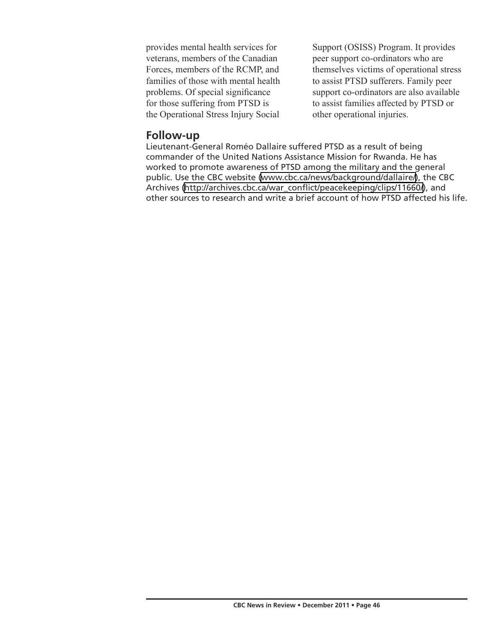provides mental health services for veterans, members of the Canadian Forces, members of the RCMP, and families of those with mental health problems. Of special significance for those suffering from PTSD is the Operational Stress Injury Social

Support (OSISS) Program. It provides peer support co-ordinators who are themselves victims of operational stress to assist PTSD sufferers. Family peer support co-ordinators are also available to assist families affected by PTSD or other operational injuries.

## **Follow-up**

Lieutenant-General Roméo Dallaire suffered PTSD as a result of being commander of the United Nations Assistance Mission for Rwanda. He has worked to promote awareness of PTSD among the military and the general public. Use the CBC website ([www.cbc.ca/news/background/dallaire/\)](http://www.cbc.ca/news/background/dallaire/), the CBC Archives [\(http://archives.cbc.ca/war\\_conflict/peacekeeping/clips/11660/](http://archives.cbc.ca/war_conflict/peacekeeping/clips/11660/)), and other sources to research and write a brief account of how PTSD affected his life.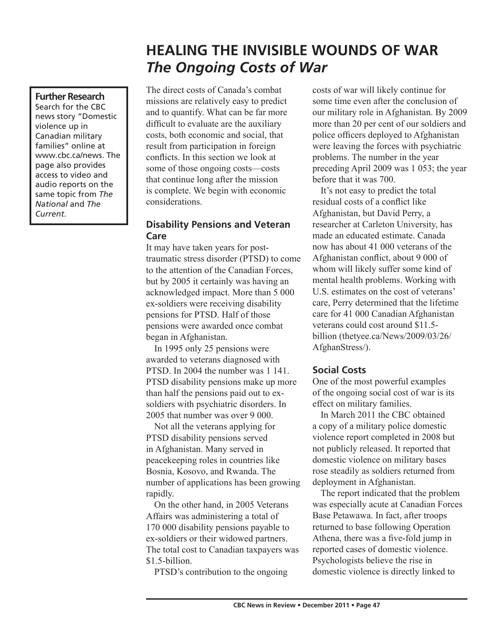# **HEALING THE INVISIBLE WOUNDS OF WAR** *The Ongoing Costs of War*

## **Further Research**

Search for the CBC news story "Domestic violence up in Canadian military families" online at www.cbc.ca/news. The page also provides access to video and audio reports on the same topic from *The National* and *The Current*.

The direct costs of Canada's combat missions are relatively easy to predict and to quantify. What can be far more difficult to evaluate are the auxiliary costs, both economic and social, that result from participation in foreign conflicts. In this section we look at some of those ongoing costs—costs that continue long after the mission is complete. We begin with economic considerations.

## **Disability Pensions and Veteran Care**

It may have taken years for posttraumatic stress disorder (PTSD) to come to the attention of the Canadian Forces, but by 2005 it certainly was having an acknowledged impact. More than 5 000 ex-soldiers were receiving disability pensions for PTSD. Half of those pensions were awarded once combat began in Afghanistan.

In 1995 only 25 pensions were awarded to veterans diagnosed with PTSD. In 2004 the number was 1 141. PTSD disability pensions make up more than half the pensions paid out to exsoldiers with psychiatric disorders. In 2005 that number was over 9 000.

Not all the veterans applying for PTSD disability pensions served in Afghanistan. Many served in peacekeeping roles in countries like Bosnia, Kosovo, and Rwanda. The number of applications has been growing rapidly.

On the other hand, in 2005 Veterans Affairs was administering a total of 170 000 disability pensions payable to ex-soldiers or their widowed partners. The total cost to Canadian taxpayers was \$1.5-billion.

PTSD's contribution to the ongoing

costs of war will likely continue for some time even after the conclusion of our military role in Afghanistan. By 2009 more than 20 per cent of our soldiers and police officers deployed to Afghanistan were leaving the forces with psychiatric problems. The number in the year preceding April 2009 was 1 053; the year before that it was 700.

It's not easy to predict the total residual costs of a conflict like Afghanistan, but David Perry, a researcher at Carleton University, has made an educated estimate. Canada now has about 41 000 veterans of the Afghanistan conflict, about 9 000 of whom will likely suffer some kind of mental health problems. Working with U.S. estimates on the cost of veterans' care, Perry determined that the lifetime care for 41 000 Canadian Afghanistan veterans could cost around \$11.5 billion (thetyee.ca/News/2009/03/26/ AfghanStress/).

### **Social Costs**

One of the most powerful examples of the ongoing social cost of war is its effect on military families.

In March 2011 the CBC obtained a copy of a military police domestic violence report completed in 2008 but not publicly released. It reported that domestic violence on military bases rose steadily as soldiers returned from deployment in Afghanistan.

The report indicated that the problem was especially acute at Canadian Forces Base Petawawa. In fact, after troops returned to base following Operation Athena, there was a five-fold jump in reported cases of domestic violence. Psychologists believe the rise in domestic violence is directly linked to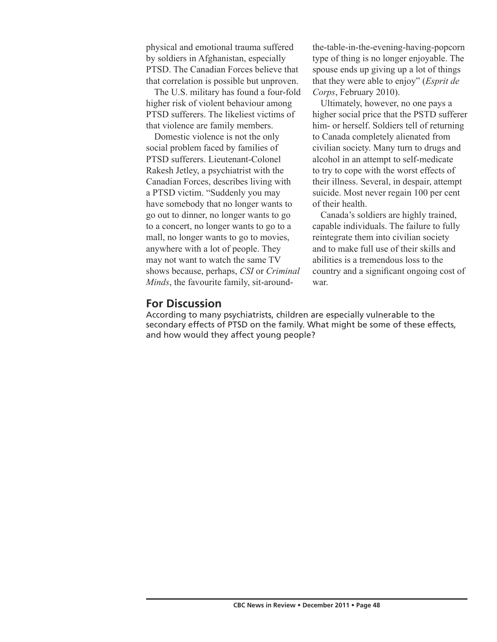physical and emotional trauma suffered by soldiers in Afghanistan, especially PTSD. The Canadian Forces believe that that correlation is possible but unproven.

The U.S. military has found a four-fold higher risk of violent behaviour among PTSD sufferers. The likeliest victims of that violence are family members.

Domestic violence is not the only social problem faced by families of PTSD sufferers. Lieutenant-Colonel Rakesh Jetley, a psychiatrist with the Canadian Forces, describes living with a PTSD victim. "Suddenly you may have somebody that no longer wants to go out to dinner, no longer wants to go to a concert, no longer wants to go to a mall, no longer wants to go to movies, anywhere with a lot of people. They may not want to watch the same TV shows because, perhaps, *CSI* or *Criminal Minds*, the favourite family, sit-aroundthe-table-in-the-evening-having-popcorn type of thing is no longer enjoyable. The spouse ends up giving up a lot of things that they were able to enjoy" (*Esprit de Corps*, February 2010).

Ultimately, however, no one pays a higher social price that the PSTD sufferer him- or herself. Soldiers tell of returning to Canada completely alienated from civilian society. Many turn to drugs and alcohol in an attempt to self-medicate to try to cope with the worst effects of their illness. Several, in despair, attempt suicide. Most never regain 100 per cent of their health.

Canada's soldiers are highly trained, capable individuals. The failure to fully reintegrate them into civilian society and to make full use of their skills and abilities is a tremendous loss to the country and a significant ongoing cost of war.

## **For Discussion**

According to many psychiatrists, children are especially vulnerable to the secondary effects of PTSD on the family. What might be some of these effects, and how would they affect young people?